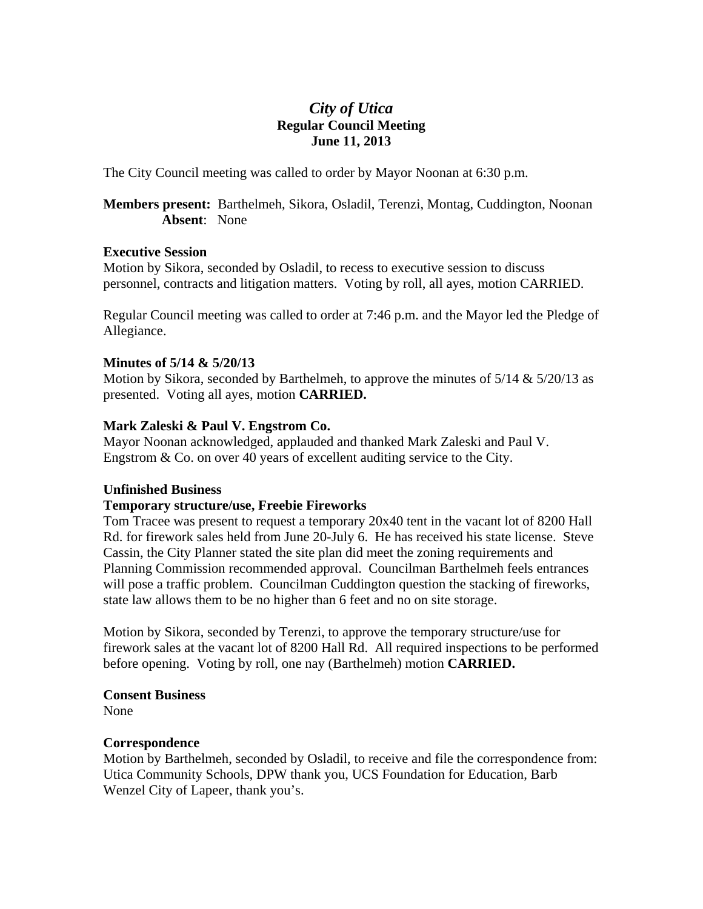## *City of Utica*  **Regular Council Meeting June 11, 2013**

The City Council meeting was called to order by Mayor Noonan at 6:30 p.m.

**Members present:** Barthelmeh, Sikora, Osladil, Terenzi, Montag, Cuddington, Noonan **Absent**: None

#### **Executive Session**

Motion by Sikora, seconded by Osladil, to recess to executive session to discuss personnel, contracts and litigation matters. Voting by roll, all ayes, motion CARRIED.

Regular Council meeting was called to order at 7:46 p.m. and the Mayor led the Pledge of Allegiance.

#### **Minutes of 5/14 & 5/20/13**

Motion by Sikora, seconded by Barthelmeh, to approve the minutes of  $5/14 \& 5/20/13$  as presented. Voting all ayes, motion **CARRIED.** 

## **Mark Zaleski & Paul V. Engstrom Co.**

Mayor Noonan acknowledged, applauded and thanked Mark Zaleski and Paul V. Engstrom & Co. on over 40 years of excellent auditing service to the City.

## **Unfinished Business**

## **Temporary structure/use, Freebie Fireworks**

Tom Tracee was present to request a temporary 20x40 tent in the vacant lot of 8200 Hall Rd. for firework sales held from June 20-July 6. He has received his state license. Steve Cassin, the City Planner stated the site plan did meet the zoning requirements and Planning Commission recommended approval. Councilman Barthelmeh feels entrances will pose a traffic problem. Councilman Cuddington question the stacking of fireworks, state law allows them to be no higher than 6 feet and no on site storage.

Motion by Sikora, seconded by Terenzi, to approve the temporary structure/use for firework sales at the vacant lot of 8200 Hall Rd. All required inspections to be performed before opening. Voting by roll, one nay (Barthelmeh) motion **CARRIED.**

#### **Consent Business**

None

#### **Correspondence**

Motion by Barthelmeh, seconded by Osladil, to receive and file the correspondence from: Utica Community Schools, DPW thank you, UCS Foundation for Education, Barb Wenzel City of Lapeer, thank you's.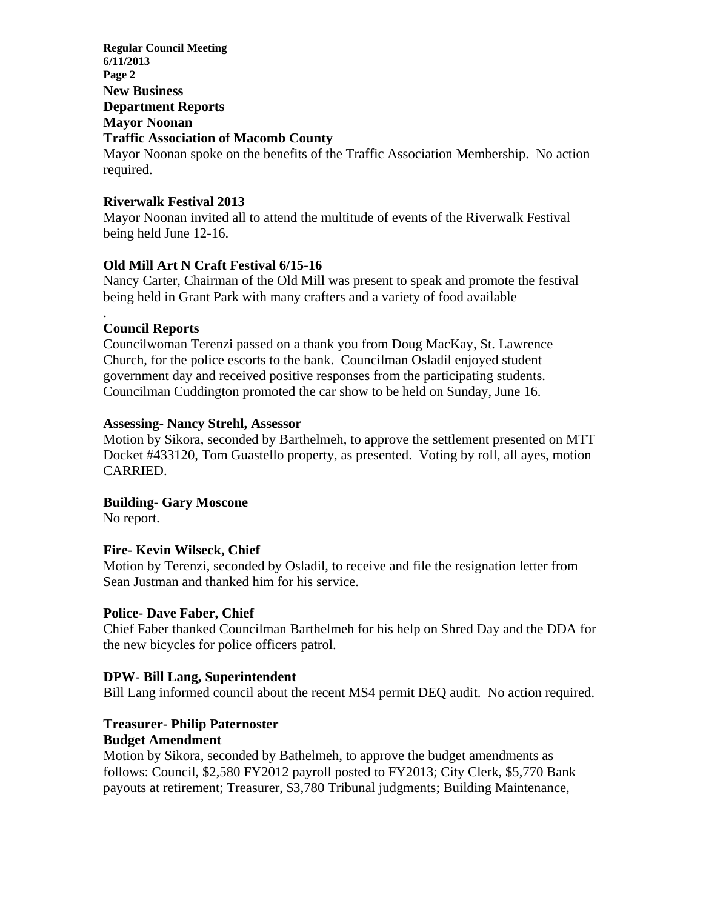**Regular Council Meeting 6/11/2013 Page 2 New Business Department Reports Mayor Noonan Traffic Association of Macomb County**  Mayor Noonan spoke on the benefits of the Traffic Association Membership. No action required.

#### **Riverwalk Festival 2013**

Mayor Noonan invited all to attend the multitude of events of the Riverwalk Festival being held June 12-16.

#### **Old Mill Art N Craft Festival 6/15-16**

Nancy Carter, Chairman of the Old Mill was present to speak and promote the festival being held in Grant Park with many crafters and a variety of food available

#### **Council Reports**

.

Councilwoman Terenzi passed on a thank you from Doug MacKay, St. Lawrence Church, for the police escorts to the bank. Councilman Osladil enjoyed student government day and received positive responses from the participating students. Councilman Cuddington promoted the car show to be held on Sunday, June 16.

#### **Assessing- Nancy Strehl, Assessor**

Motion by Sikora, seconded by Barthelmeh, to approve the settlement presented on MTT Docket #433120, Tom Guastello property, as presented. Voting by roll, all ayes, motion CARRIED.

#### **Building- Gary Moscone**

No report.

#### **Fire- Kevin Wilseck, Chief**

Motion by Terenzi, seconded by Osladil, to receive and file the resignation letter from Sean Justman and thanked him for his service.

#### **Police- Dave Faber, Chief**

Chief Faber thanked Councilman Barthelmeh for his help on Shred Day and the DDA for the new bicycles for police officers patrol.

#### **DPW- Bill Lang, Superintendent**

Bill Lang informed council about the recent MS4 permit DEQ audit. No action required.

## **Treasurer- Philip Paternoster**

#### **Budget Amendment**

Motion by Sikora, seconded by Bathelmeh, to approve the budget amendments as follows: Council, \$2,580 FY2012 payroll posted to FY2013; City Clerk, \$5,770 Bank payouts at retirement; Treasurer, \$3,780 Tribunal judgments; Building Maintenance,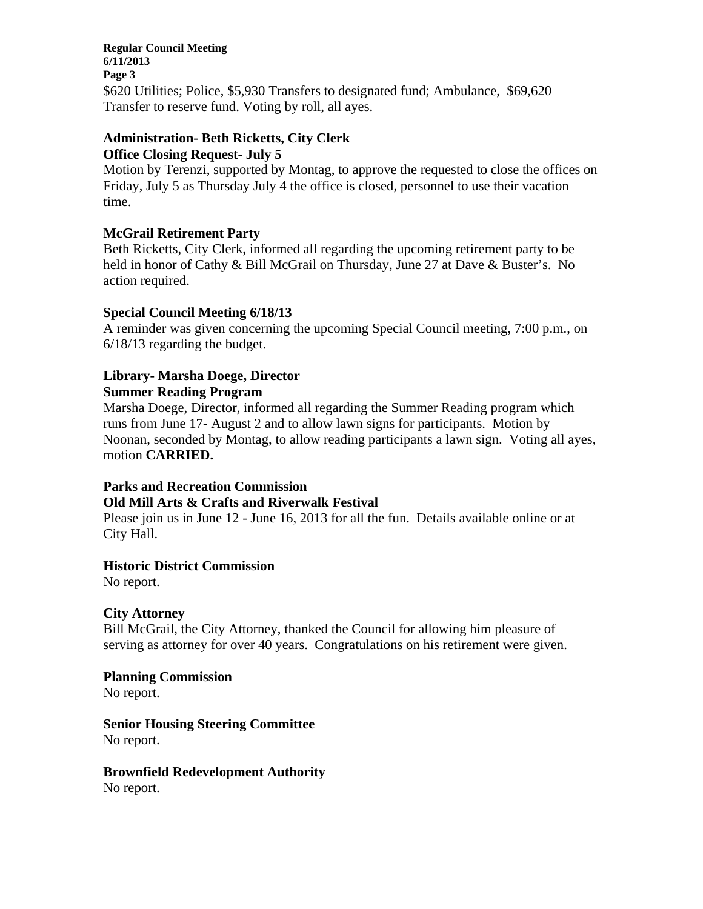**Regular Council Meeting 6/11/2013 Page 3**  \$620 Utilities; Police, \$5,930 Transfers to designated fund; Ambulance, \$69,620 Transfer to reserve fund. Voting by roll, all ayes.

## **Administration- Beth Ricketts, City Clerk Office Closing Request- July 5**

Motion by Terenzi, supported by Montag, to approve the requested to close the offices on Friday, July 5 as Thursday July 4 the office is closed, personnel to use their vacation time.

## **McGrail Retirement Party**

Beth Ricketts, City Clerk, informed all regarding the upcoming retirement party to be held in honor of Cathy & Bill McGrail on Thursday, June 27 at Dave & Buster's. No action required.

## **Special Council Meeting 6/18/13**

A reminder was given concerning the upcoming Special Council meeting, 7:00 p.m., on 6/18/13 regarding the budget.

# **Library- Marsha Doege, Director**

#### **Summer Reading Program**

Marsha Doege, Director, informed all regarding the Summer Reading program which runs from June 17- August 2 and to allow lawn signs for participants. Motion by Noonan, seconded by Montag, to allow reading participants a lawn sign. Voting all ayes, motion **CARRIED.** 

## **Parks and Recreation Commission**

## **Old Mill Arts & Crafts and Riverwalk Festival**

Please join us in June 12 - June 16, 2013 for all the fun. Details available online or at City Hall.

## **Historic District Commission**

No report.

## **City Attorney**

Bill McGrail, the City Attorney, thanked the Council for allowing him pleasure of serving as attorney for over 40 years. Congratulations on his retirement were given.

## **Planning Commission**

No report.

**Senior Housing Steering Committee**  No report.

**Brownfield Redevelopment Authority**  No report.